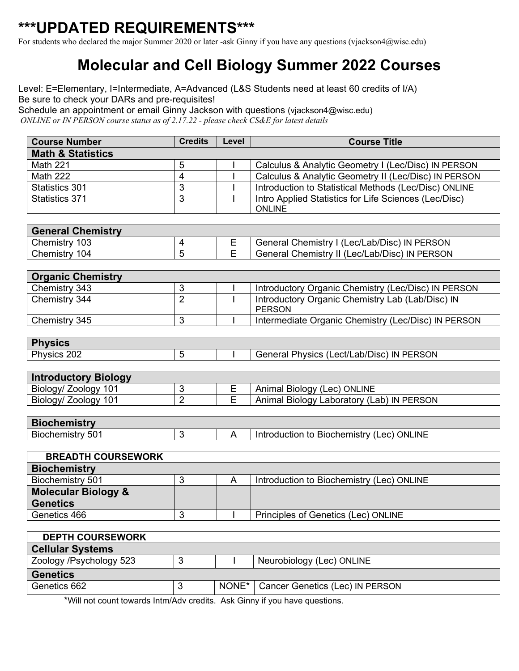## **\*\*\*UPDATED REQUIREMENTS\*\*\***

For students who declared the major Summer 2020 or later -ask Ginny if you have any questions (vjackson4@wisc.edu)

## **Molecular and Cell Biology Summer 2022 Courses**

Level: E=Elementary, I=Intermediate, A=Advanced (L&S Students need at least 60 credits of I/A) Be sure to check your DARs and pre-requisites!

Schedule an appointment or email Ginny Jackson with questions (vjackson4@wisc.edu) *ONLINE or IN PERSON course status as of 2.17.22 - please check CS&E for latest details*

| <b>Course Number</b>           | <b>Credits</b> | Level          | <b>Course Title</b>                                                    |  |  |  |
|--------------------------------|----------------|----------------|------------------------------------------------------------------------|--|--|--|
| <b>Math &amp; Statistics</b>   |                |                |                                                                        |  |  |  |
| <b>Math 221</b>                | 5              |                | Calculus & Analytic Geometry I (Lec/Disc) IN PERSON                    |  |  |  |
| <b>Math 222</b>                | 4              |                | Calculus & Analytic Geometry II (Lec/Disc) IN PERSON                   |  |  |  |
| Statistics 301                 | 3              |                | Introduction to Statistical Methods (Lec/Disc) ONLINE                  |  |  |  |
| <b>Statistics 371</b>          | 3              |                | Intro Applied Statistics for Life Sciences (Lec/Disc)<br><b>ONLINE</b> |  |  |  |
|                                |                |                |                                                                        |  |  |  |
| <b>General Chemistry</b>       |                |                |                                                                        |  |  |  |
| Chemistry 103                  | 4              | Е              | General Chemistry I (Lec/Lab/Disc) IN PERSON                           |  |  |  |
| Chemistry 104                  | $\overline{5}$ | E              | General Chemistry II (Lec/Lab/Disc) IN PERSON                          |  |  |  |
|                                |                |                |                                                                        |  |  |  |
| <b>Organic Chemistry</b>       |                |                |                                                                        |  |  |  |
| Chemistry 343                  | 3              |                | Introductory Organic Chemistry (Lec/Disc) IN PERSON                    |  |  |  |
| Chemistry 344                  | $\overline{2}$ |                | Introductory Organic Chemistry Lab (Lab/Disc) IN<br><b>PERSON</b>      |  |  |  |
| Chemistry 345                  | 3              |                | Intermediate Organic Chemistry (Lec/Disc) IN PERSON                    |  |  |  |
|                                |                |                |                                                                        |  |  |  |
| <b>Physics</b>                 |                |                |                                                                        |  |  |  |
| Physics 202                    | 5              |                | General Physics (Lect/Lab/Disc) IN PERSON                              |  |  |  |
|                                |                |                |                                                                        |  |  |  |
| <b>Introductory Biology</b>    |                |                |                                                                        |  |  |  |
| Biology/ Zoology 101           | 3              | Е              | Animal Biology (Lec) ONLINE                                            |  |  |  |
| Biology/ Zoology 101           | $\overline{2}$ | E              | Animal Biology Laboratory (Lab) IN PERSON                              |  |  |  |
|                                |                |                |                                                                        |  |  |  |
| <b>Biochemistry</b>            |                |                |                                                                        |  |  |  |
| Biochemistry 501               | 3              | $\overline{A}$ | Introduction to Biochemistry (Lec) ONLINE                              |  |  |  |
|                                |                |                |                                                                        |  |  |  |
| <b>BREADTH COURSEWORK</b>      |                |                |                                                                        |  |  |  |
| <b>Biochemistry</b>            |                |                |                                                                        |  |  |  |
| Biochemistry 501               | 3              | A              | Introduction to Biochemistry (Lec) ONLINE                              |  |  |  |
| <b>Molecular Biology &amp;</b> |                |                |                                                                        |  |  |  |
| <b>Genetics</b>                |                |                |                                                                        |  |  |  |
| Genetics 466                   | $\sqrt{3}$     | $\mathbf{I}$   | Principles of Genetics (Lec) ONLINE                                    |  |  |  |
|                                |                |                |                                                                        |  |  |  |
| <b>DEPTH COURSEWORK</b>        |                |                |                                                                        |  |  |  |
| <b>Cellular Systems</b>        |                |                |                                                                        |  |  |  |
| Zoology /Psychology 523        | $\mathbf{3}$   |                | Neurobiology (Lec) ONLINE                                              |  |  |  |
| <b>Genetics</b>                |                |                |                                                                        |  |  |  |
| Genetics 662                   | 3              | NONE*          | Cancer Genetics (Lec) IN PERSON                                        |  |  |  |

\*Will not count towards Intm/Adv credits. Ask Ginny if you have questions.